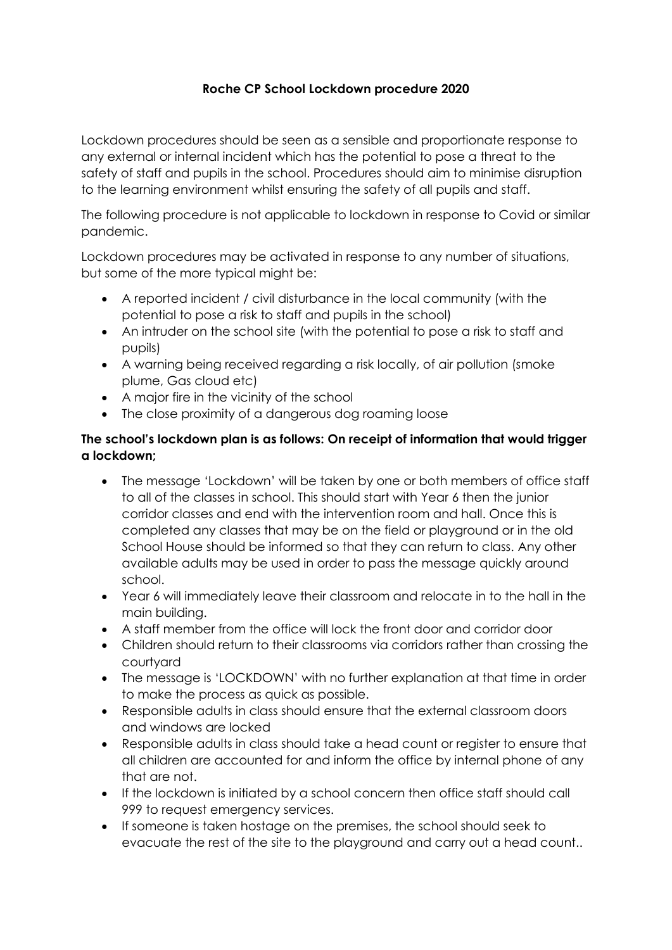### **Roche CP School Lockdown procedure 2020**

Lockdown procedures should be seen as a sensible and proportionate response to any external or internal incident which has the potential to pose a threat to the safety of staff and pupils in the school. Procedures should aim to minimise disruption to the learning environment whilst ensuring the safety of all pupils and staff.

The following procedure is not applicable to lockdown in response to Covid or similar pandemic.

Lockdown procedures may be activated in response to any number of situations, but some of the more typical might be:

- A reported incident / civil disturbance in the local community (with the potential to pose a risk to staff and pupils in the school)
- An intruder on the school site (with the potential to pose a risk to staff and pupils)
- A warning being received regarding a risk locally, of air pollution (smoke plume, Gas cloud etc)
- A major fire in the vicinity of the school
- The close proximity of a dangerous dog roaming loose

#### **The school's lockdown plan is as follows: On receipt of information that would trigger a lockdown;**

- The message 'Lockdown' will be taken by one or both members of office staff to all of the classes in school. This should start with Year 6 then the junior corridor classes and end with the intervention room and hall. Once this is completed any classes that may be on the field or playground or in the old School House should be informed so that they can return to class. Any other available adults may be used in order to pass the message quickly around school.
- Year 6 will immediately leave their classroom and relocate in to the hall in the main building.
- A staff member from the office will lock the front door and corridor door
- Children should return to their classrooms via corridors rather than crossing the courtyard
- The message is 'LOCKDOWN' with no further explanation at that time in order to make the process as quick as possible.
- Responsible adults in class should ensure that the external classroom doors and windows are locked
- Responsible adults in class should take a head count or register to ensure that all children are accounted for and inform the office by internal phone of any that are not.
- If the lockdown is initiated by a school concern then office staff should call 999 to request emergency services.
- If someone is taken hostage on the premises, the school should seek to evacuate the rest of the site to the playground and carry out a head count..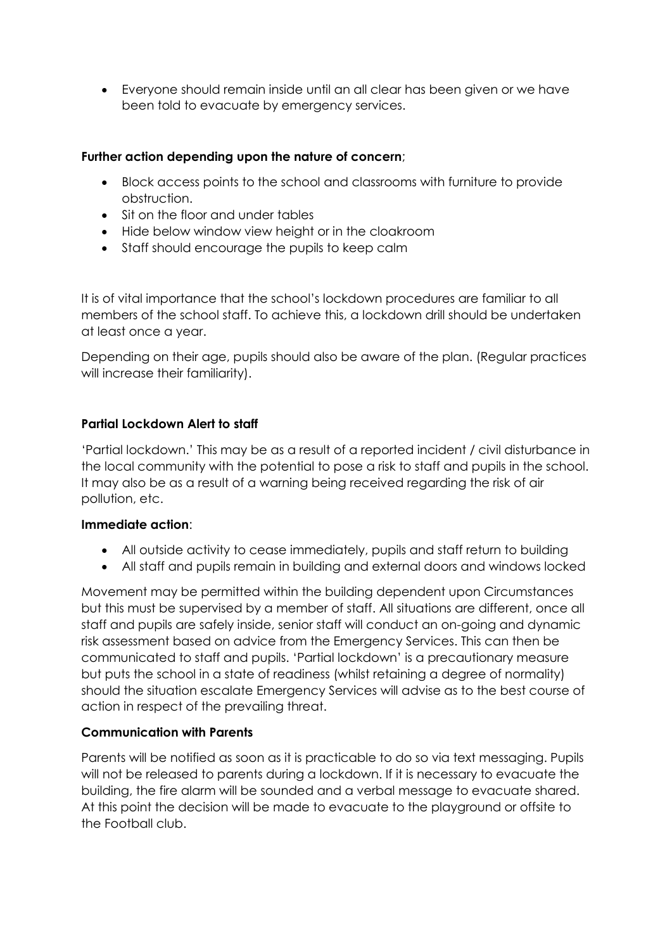Everyone should remain inside until an all clear has been given or we have been told to evacuate by emergency services.

#### **Further action depending upon the nature of concern**;

- Block access points to the school and classrooms with furniture to provide obstruction.
- Sit on the floor and under tables
- Hide below window view height or in the cloakroom
- Staff should encourage the pupils to keep calm

It is of vital importance that the school's lockdown procedures are familiar to all members of the school staff. To achieve this, a lockdown drill should be undertaken at least once a year.

Depending on their age, pupils should also be aware of the plan. (Regular practices will increase their familiarity).

#### **Partial Lockdown Alert to staff**

'Partial lockdown.' This may be as a result of a reported incident / civil disturbance in the local community with the potential to pose a risk to staff and pupils in the school. It may also be as a result of a warning being received regarding the risk of air pollution, etc.

#### **Immediate action**:

- All outside activity to cease immediately, pupils and staff return to building
- All staff and pupils remain in building and external doors and windows locked

Movement may be permitted within the building dependent upon Circumstances but this must be supervised by a member of staff. All situations are different, once all staff and pupils are safely inside, senior staff will conduct an on-going and dynamic risk assessment based on advice from the Emergency Services. This can then be communicated to staff and pupils. 'Partial lockdown' is a precautionary measure but puts the school in a state of readiness (whilst retaining a degree of normality) should the situation escalate Emergency Services will advise as to the best course of action in respect of the prevailing threat.

#### **Communication with Parents**

Parents will be notified as soon as it is practicable to do so via text messaging. Pupils will not be released to parents during a lockdown. If it is necessary to evacuate the building, the fire alarm will be sounded and a verbal message to evacuate shared. At this point the decision will be made to evacuate to the playground or offsite to the Football club.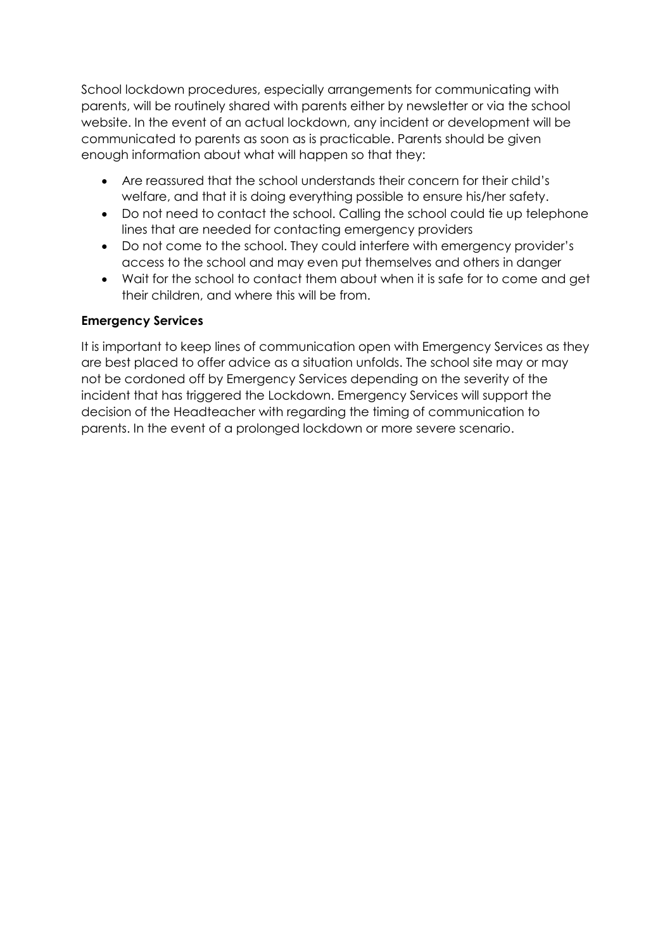School lockdown procedures, especially arrangements for communicating with parents, will be routinely shared with parents either by newsletter or via the school website. In the event of an actual lockdown, any incident or development will be communicated to parents as soon as is practicable. Parents should be given enough information about what will happen so that they:

- Are reassured that the school understands their concern for their child's welfare, and that it is doing everything possible to ensure his/her safety.
- Do not need to contact the school. Calling the school could tie up telephone lines that are needed for contacting emergency providers
- Do not come to the school. They could interfere with emergency provider's access to the school and may even put themselves and others in danger
- Wait for the school to contact them about when it is safe for to come and get their children, and where this will be from.

#### **Emergency Services**

It is important to keep lines of communication open with Emergency Services as they are best placed to offer advice as a situation unfolds. The school site may or may not be cordoned off by Emergency Services depending on the severity of the incident that has triggered the Lockdown. Emergency Services will support the decision of the Headteacher with regarding the timing of communication to parents. In the event of a prolonged lockdown or more severe scenario.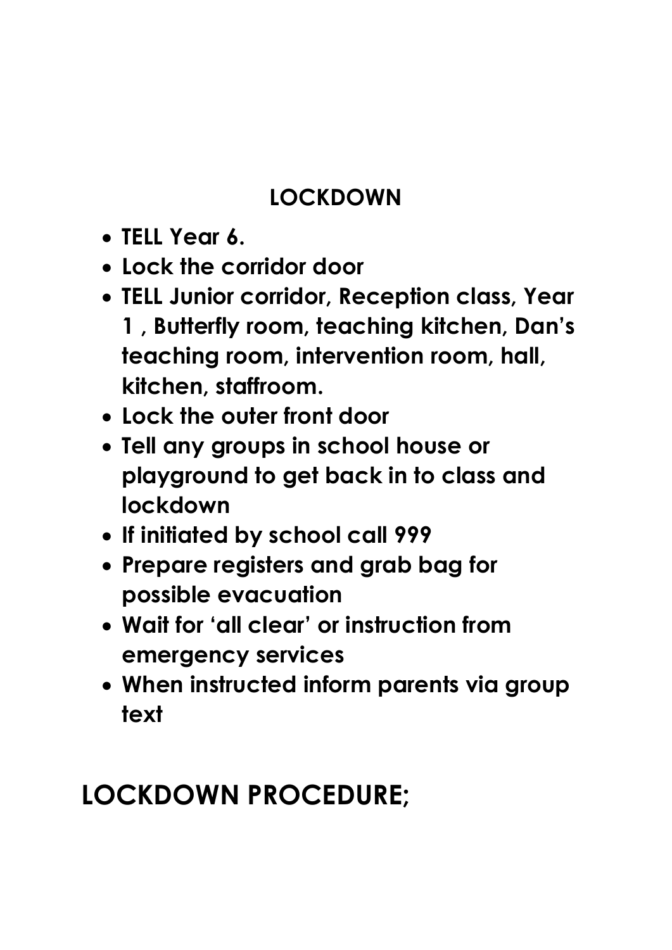### **LOCKDOWN**

- **TELL Year 6.**
- **Lock the corridor door**
- **TELL Junior corridor, Reception class, Year 1 , Butterfly room, teaching kitchen, Dan's teaching room, intervention room, hall, kitchen, staffroom.**
- **Lock the outer front door**
- **Tell any groups in school house or playground to get back in to class and lockdown**
- **If initiated by school call 999**
- **Prepare registers and grab bag for possible evacuation**
- **Wait for 'all clear' or instruction from emergency services**
- **When instructed inform parents via group text**

# **LOCKDOWN PROCEDURE;**